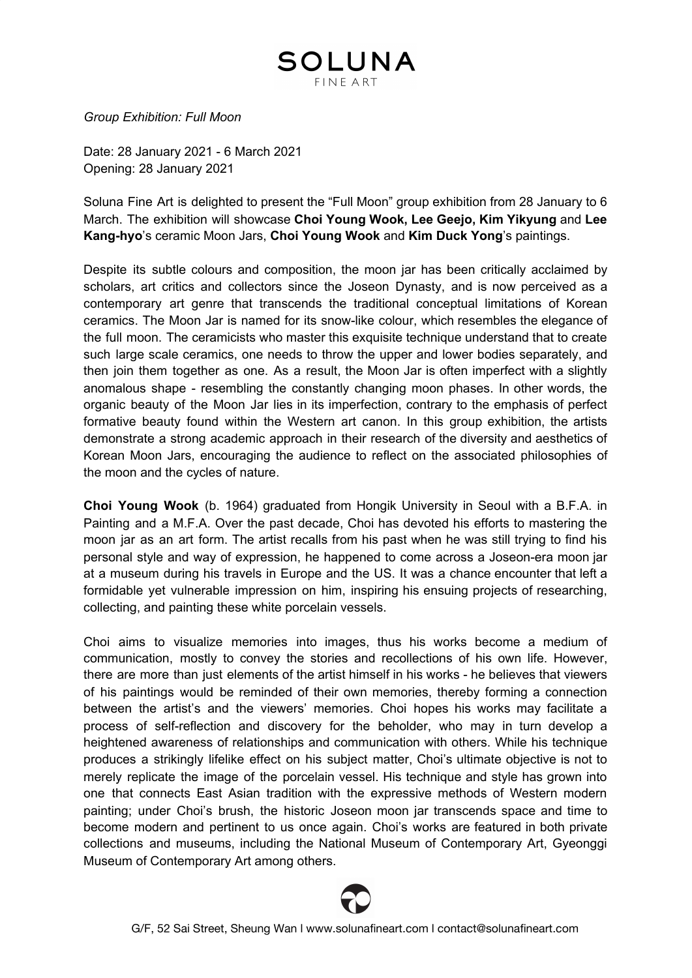## SOLUNA FINF ART

*Group Exhibition: Full Moon*

Date: 28 January 2021 - 6 March 2021 Opening: 28 January 2021

Soluna Fine Art is delighted to present the "Full Moon" group exhibition from 28 January to 6 March. The exhibition will showcase **Choi Young Wook, Lee Geejo, Kim Yikyung** and **Lee Kang-hyo**'s ceramic Moon Jars, **Choi Young Wook** and **Kim Duck Yong**'s paintings.

Despite its subtle colours and composition, the moon jar has been critically acclaimed by scholars, art critics and collectors since the Joseon Dynasty, and is now perceived as a contemporary art genre that transcends the traditional conceptual limitations of Korean ceramics. The Moon Jar is named for its snow-like colour, which resembles the elegance of the full moon. The ceramicists who master this exquisite technique understand that to create such large scale ceramics, one needs to throw the upper and lower bodies separately, and then join them together as one. As a result, the Moon Jar is often imperfect with a slightly anomalous shape - resembling the constantly changing moon phases. In other words, the organic beauty of the Moon Jar lies in its imperfection, contrary to the emphasis of perfect formative beauty found within the Western art canon. In this group exhibition, the artists demonstrate a strong academic approach in their research of the diversity and aesthetics of Korean Moon Jars, encouraging the audience to reflect on the associated philosophies of the moon and the cycles of nature.

**Choi Young Wook** (b. 1964) graduated from Hongik University in Seoul with a B.F.A. in Painting and a M.F.A. Over the past decade, Choi has devoted his efforts to mastering the moon jar as an art form. The artist recalls from his past when he was still trying to find his personal style and way of expression, he happened to come across a Joseon-era moon jar at a museum during his travels in Europe and the US. It was a chance encounter that left a formidable yet vulnerable impression on him, inspiring his ensuing projects of researching, collecting, and painting these white porcelain vessels.

Choi aims to visualize memories into images, thus his works become a medium of communication, mostly to convey the stories and recollections of his own life. However, there are more than just elements of the artist himself in his works - he believes that viewers of his paintings would be reminded of their own memories, thereby forming a connection between the artist's and the viewers' memories. Choi hopes his works may facilitate a process of self-reflection and discovery for the beholder, who may in turn develop a heightened awareness of relationships and communication with others. While his technique produces a strikingly lifelike effect on his subject matter, Choi's ultimate objective is not to merely replicate the image of the porcelain vessel. His technique and style has grown into one that connects East Asian tradition with the expressive methods of Western modern painting; under Choi's brush, the historic Joseon moon jar transcends space and time to become modern and pertinent to us once again. Choi's works are featured in both private collections and museums, including the National Museum of Contemporary Art, Gyeonggi Museum of Contemporary Art among others.

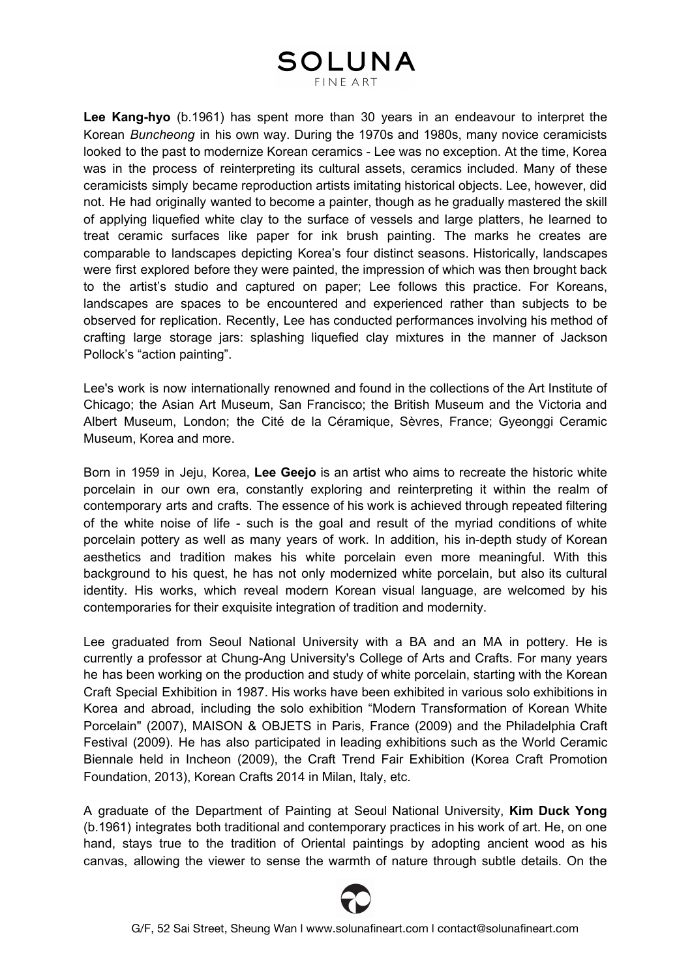#### **SOLUNA FINE ART**

**Lee Kang-hyo** (b.1961) has spent more than 30 years in an endeavour to interpret the Korean *Buncheong* in his own way. During the 1970s and 1980s, many novice ceramicists looked to the past to modernize Korean ceramics - Lee was no exception. At the time, Korea was in the process of reinterpreting its cultural assets, ceramics included. Many of these ceramicists simply became reproduction artists imitating historical objects. Lee, however, did not. He had originally wanted to become a painter, though as he gradually mastered the skill of applying liquefied white clay to the surface of vessels and large platters, he learned to treat ceramic surfaces like paper for ink brush painting. The marks he creates are comparable to landscapes depicting Korea's four distinct seasons. Historically, landscapes were first explored before they were painted, the impression of which was then brought back to the artist's studio and captured on paper; Lee follows this practice. For Koreans, landscapes are spaces to be encountered and experienced rather than subjects to be observed for replication. Recently, Lee has conducted performances involving his method of crafting large storage jars: splashing liquefied clay mixtures in the manner of Jackson Pollock's "action painting".

Lee's work is now internationally renowned and found in the collections of the Art Institute of Chicago; the Asian Art Museum, San Francisco; the British Museum and the Victoria and Albert Museum, London; the Cité de la Céramique, Sèvres, France; Gyeonggi Ceramic Museum, Korea and more.

Born in 1959 in Jeju, Korea, **Lee Geejo** is an artist who aims to recreate the historic white porcelain in our own era, constantly exploring and reinterpreting it within the realm of contemporary arts and crafts. The essence of his work is achieved through repeated filtering of the white noise of life - such is the goal and result of the myriad conditions of white porcelain pottery as well as many years of work. In addition, his in-depth study of Korean aesthetics and tradition makes his white porcelain even more meaningful. With this background to his quest, he has not only modernized white porcelain, but also its cultural identity. His works, which reveal modern Korean visual language, are welcomed by his contemporaries for their exquisite integration of tradition and modernity.

Lee graduated from Seoul National University with a BA and an MA in pottery. He is currently a professor at Chung-Ang University's College of Arts and Crafts. For many years he has been working on the production and study of white porcelain, starting with the Korean Craft Special Exhibition in 1987. His works have been exhibited in various solo exhibitions in Korea and abroad, including the solo exhibition "Modern Transformation of Korean White Porcelain" (2007), MAISON & OBJETS in Paris, France (2009) and the Philadelphia Craft Festival (2009). He has also participated in leading exhibitions such as the World Ceramic Biennale held in Incheon (2009), the Craft Trend Fair Exhibition (Korea Craft Promotion Foundation, 2013), Korean Crafts 2014 in Milan, Italy, etc.

A graduate of the Department of Painting at Seoul National University, **Kim Duck Yong** (b.1961) integrates both traditional and contemporary practices in his work of art. He, on one hand, stays true to the tradition of Oriental paintings by adopting ancient wood as his canvas, allowing the viewer to sense the warmth of nature through subtle details. On the

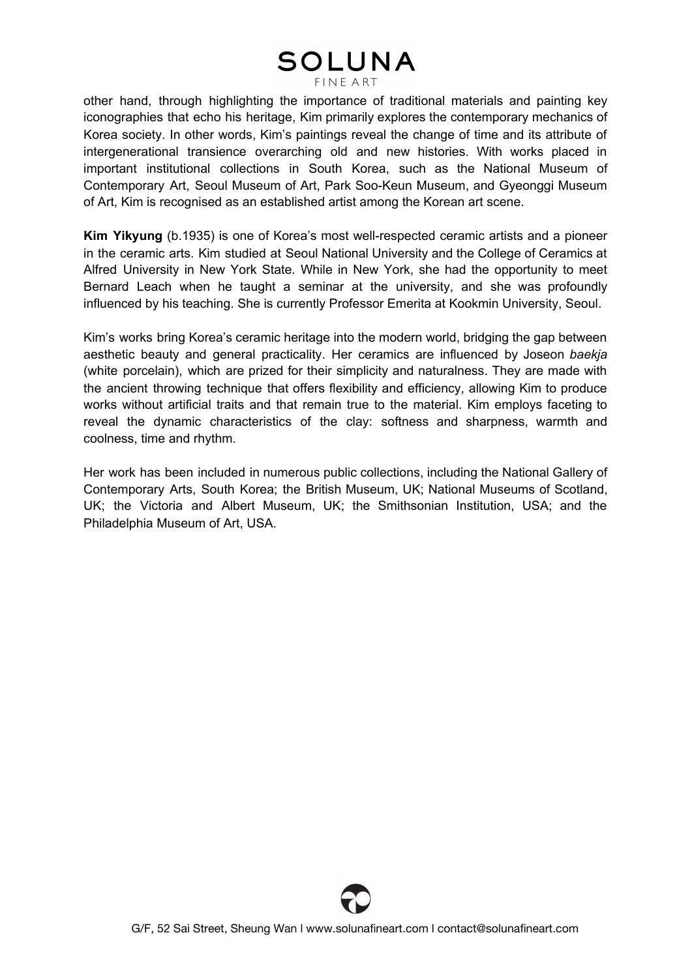# **SOLUNA**

**FINE ART** 

other hand, through highlighting the importance of traditional materials and painting key iconographies that echo his heritage, Kim primarily explores the contemporary mechanics of Korea society. In other words, Kim's paintings reveal the change of time and its attribute of intergenerational transience overarching old and new histories. With works placed in important institutional collections in South Korea, such as the National Museum of Contemporary Art, Seoul Museum of Art, Park Soo-Keun Museum, and Gyeonggi Museum of Art, Kim is recognised as an established artist among the Korean art scene.

**Kim Yikyung** (b.1935) is one of Korea's most well-respected ceramic artists and a pioneer in the ceramic arts. Kim studied at Seoul National University and the College of Ceramics at Alfred University in New York State. While in New York, she had the opportunity to meet Bernard Leach when he taught a seminar at the university, and she was profoundly influenced by his teaching. She is currently Professor Emerita at Kookmin University, Seoul.

Kim's works bring Korea's ceramic heritage into the modern world, bridging the gap between aesthetic beauty and general practicality. Her ceramics are influenced by Joseon *baekja* (white porcelain), which are prized for their simplicity and naturalness. They are made with the ancient throwing technique that offers flexibility and efficiency, allowing Kim to produce works without artificial traits and that remain true to the material. Kim employs faceting to reveal the dynamic characteristics of the clay: softness and sharpness, warmth and coolness, time and rhythm.

Her work has been included in numerous public collections, including the National Gallery of Contemporary Arts, South Korea; the British Museum, UK; National Museums of Scotland, UK; the Victoria and Albert Museum, UK; the Smithsonian Institution, USA; and the Philadelphia Museum of Art, USA.